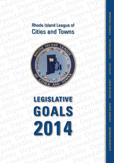# <span id="page-0-0"></span>Rhode Island League of Cities and Towns



# **LEGISLATIVE GOALS 2014**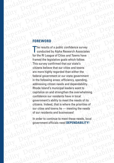# Pependability Dependability Dependability<br>Pependability Dependability Dependability<br>Rependability Dependability Dependability<br>Pependability Dependability Dependability<br>Pependability Dependability Dependability **FOREWORD**

endability Dependability Dependability<br>ility Dependability Dependab

endability Dependability Dependability<br>ility Dependability Dependab

endability Dependability Dependability<br>bility dability Dependability Dependability<br>ependability Dependability Dependabi

endability Dependability<br>bility dability Dependability<br>ependability Dependability Dependability<br>ability Dependability Dependab

endability Dependability Dependability<br>ability Dependability Dependability<br>ability Dependability Dependability<br>ability Dependability Dependability<br>dability Dependability Dependability<br>dability Dependability Dependab endability Dependability Dependability<br>ability Dependability Dependability<br>ability Dependability Dependability<br>ability Dependability Dependability<br>Dependability Dependability Dependability<br>dability Dependability Dependabi<br> enda Dependability Dependability<br>endability Dependability Dependability<br>ability Dependability Dependability<br>ability dability Dependability Dependability<br>Dependability Dependability Dependability<br>dability daring Dependabili ility Dependability Dependability Dependability<br>ability Dependability Dependability<br>ability dability Dependability Dependability<br>Dependability Dependability Dependability<br>Dependix Dependent Dependability<br>dability de**pendix** ependability Dependability Dependability<br>ability Dependability Dependability<br>dability Dependability Dependabi<br>dability da **FOREWORD**<br>dability The results of a public confidence survey ; lity<br>Peper Dependabi<br>mediability The ependability Dependability Dependability<br>Dependability Dependability Dependability<br>Dependability Dependability Dependabi<br>Dependability The results of a public confidence survey<br>Depended by Alpha Research Associates<br>Pandabi Dependability<br>
Dependability denote the sealing of a bility dependability<br>
Dependability denoted by Alpha Research Associates<br>
Dependability denoted by Alpha Research Associates<br>
Endability for the RI League of Cities and Dependability<br>
Dependability The results of a public confidence survey<br>
Dependability The results of a public confidence survey<br>
The results of a public confidence survey<br>
of the RI League of Cities and Towns have Depended Bendability<br>
Dependability The results of a public confidence survey<br>
ability of the RI League of Cities and Towns have<br>
CARP (for the RI League of Cities and Towns have<br>
CARP (for the RI League of Cities and Towns have<br>
c The results of a public confidence survey<br>
conducted by Alpha Research Associates<br>
2Dependent BI League of Cities and Towns have<br>
2Dependent BI League of Cities and Towns have<br>
This survey confirmed that our state's<br>
citiz ability CREAN CREAN CREAN CREAN CREAN CREAN CREAN CREAN CREAN CREAN CREAN CREAN CREAN CREAN CREAN CREAN CREAN CREAN CREAN CREAN CREAN CREAN CREAN CREAN CREAN CREAN CREAN CREAN CREAN CREAN CREAN CREAN CREAN CREAN CREAN CRE Framed the legislative goals which follow.<br>
This survey confirmed that our state's<br>
citizens believe that our cities and towns<br>
Depended than either the<br>
federal government or our state government<br>
in the following areas: endable The Continue of the forest and two state and two states and two states of the continue and the plot of the continue of the continue of the continue of the continue of the continue of the continue of the continue of Dependent of the following areas: efficiency, spending<br>  $\begin{array}{r} \begin{array}{r} \begin{array}{r} \begin{array}{r} \end{array} \\ \begin{array}{r} \end{array} \\ \begin{array}{r} \end{array} \\ \begin{array}{r} \end{array} \\ \begin{array}{r} \end{array} \\ \begin{array}{r} \end{array} \\ \begin{array}{r} \end{array} \\ \begin{array}{r} \end{array} \\ \begin{array}{r} \end{array} \\ \begin{array}{r} \end{array} \\ \begin{array}{r} \end{array} \\ \$ EPENDABILITY:<br>
PROGRAM CRISING ISLAM CONTROLLED CONTROLLED AND DEPENDABILITY: EXPERIMPLANE CONSULTER Dependability of a bility and ability of the perdability of the perdability of the perdability of the perdability of the perdability of the perdaption of the perdaption of the perdaption of the perdaption of the perdaption Dependability of the pendability of the pendability of the pendability of the pendability of the pendability of the pendability of the pendability of the pendability of the pendability of the pendability of the pendability ability Dependability Dependability Dependability<br>Dependability dability Dependability<br>andability Dependability Dependability<br>andability Dependability Dependability<br>pendability Dependability Dependability<br>pendability Depen The results of a public confidence survey conducted by Alpha Research Associates for the RI League of Cities and Towns have framed the legislative goals which follow. This survey confirmed that our state's citizens believe that our cities and towns are more highly regarded than either the federal government or our state government in the following areas: efficiency, spending, addressing citizen needs and dependability. Rhode Island's municipal leaders want to capitalize on and strengthen the overwhelming confidence our residents have in local government's ability to meet the needs of its citizens. Indeed, that is where the priorities of our cities and towns lie — meeting the needs of our residents and businesses!

Dependability Dependability Dependability<br>pendability Dependability Dependability<br>endability Dependability Dependability<br>ility Dependability Dependability<br>pendability Dependability Dependability<br>pendability Dependability<br>b dability dability dability dability dability dability dability dability dability dability dability Dependability Dependability dependability Dependability<br>Principle Dependability Dependability<br>Dependability Dependability Depend<br>Pendability Dependability Dependability<br>Dependability Dependability<br>Dility dability Dependability In order to continue to meet these needs, local government officials need **DEPENDABILITY!**

dability Dependability<br>Indability Dependability Dependability<br>Indability Dependability Dependa<br>ity Dependability Dependability<br>Indability Dependability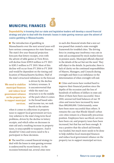# <span id="page-2-0"></span>**MUNICIPAL FINANCES**



**Dependability** in knowing that our state and legislative leaders will develop a sound financial strategy and plan to deal with the dramatic losses in state gaming revenue upon the advent of casino gambling in Massachusetts.

■ The introduction of gambling in Massachusetts over the next several years will have serious consequences for state finances. The state's five year financial projection forecasts that lottery receipts, even with the advent of table games at Twin River, will decline from \$399.9 million in FY 2015 to \$285.3 million in FY 2019. Most of this decline will occur from FY 2016 to FY 2018 and would be dependent on the timing and location of Massachusetts facilities. Half of the state's structural imbalance in the forecast

**We need to stabilize municipal finances and reduce local government reliance on the property tax to support municipal services.**

is driven by the decline in lottery revenues. It is uncontroverted that while the state's tax structure is in the middle of the pack when it comes to the broad based sales and income tax, we rank fourth in the nation

when it comes to collections in property taxes to support local government services. Any solution to the state's long term fiscal problems, driven by the decline in lottery receipts, and which relies on decreases in state aid and a resulting increase in property taxes, is unacceptable to taxpayers. And it should be! Cities and towns need to be a participant in these decisions.

The need for a sound financial strategy to deal with the losses in state gaming revenue is underscored by recent history. As the recession bottomed out, several cities were

in such dire financial straits that a new act was passed that created a state oversight framework for troubled cities. The driving force in creating near insolvency was cuts in state aid accompanied by stock market losses in pension assets. Municipal officials objected to the details of the act but not the need. They still object to the details. In particular, there is lack of clarity on the continued responsibilities of Mayors, Managers, and Councils during oversight and there is an imbalance in the determination of when oversight will end.

Cities and towns have worked hard to improve their financial position since the depths of the recession and the loss of hundreds of millions of dollars in state aid. Most of them have been successful. Since 2010, unreserved fund balances of our 39 cities and towns have increased by more than \$80,000,000. Unfortunately, some have been more successful than others. It remains the case that Rhode Island's urban core cities remain in a financially precarious position. Employees have sacrificed, services have been cut, and property taxes have been increased, but that has not been enough. It was a positive that the school aid formula was funded, but much more needs to be done to help stabilize local municipal finances and reduce local government reliance on the property tax to support municipal services.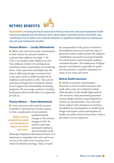# <span id="page-3-0"></span>**RETIREE BENEFITS**



**Dependability** in having the fiscal resources to finance retirement and post employment health insurance programs and not having to worry about higher municipal pension and health care contributions due to either court ordered mediation or legislative modifications to existing pension and post employment benefits .

# **Pension Reform — Locally Administered**

**Many cities and towns made commitments** to their retirees for pension benefits in a period when inflation was high. A 3% COLA was modest when inflation was 8%. Now inflation is below 2% and long term investment return expectations are ratcheting down. Cities and towns need help from the state in affirming change is necessary just as the state acted to modify benefits for its employees and teachers in 2011. The current and expected long term investment climate do not support the sustainability of existing programs. We encourage a statutory funding benchmark which would allow for suspension of COLAs.

# **Pension Reform — State Administered**

Cities and towns also need the General Assembly to demonstrate extreme caution in their consideration of any potential

**contributions would be cataclysmic to many of our cities and towns.** 

mediated benefit changes to the enacted changes of 2011 for teachers and many municipal employees who participate in the

Municipal Employees Retirement System. It is important to remember that *cities and towns are not at the table in the on-going courtordered mediation* meetings. Thus, it would

be irresponsible for the parties involved in the mediation process to reach any type of agreement which could increase the employer contribution rate paid by local governments for school teacher and municipal employee retirement benefits. The implication of higher pension contributions, especially for police and fire pensions, would be cataclysmic to many of our cities and towns.

# **Retiree Health Insurance**

Similar to pension commitments, decisions on retiree health insurance were made when costs were relatively modest. After decades of near double digit medical cost increases, these presumed guarantees on plan design and lack of participation by retirees are unsustainable. Our cities and towns support state assistance in creating a foundation for municipalities to modify plan design and require retiree participation in health care plans which at least mimic what is **Higher pension provided** to active employees.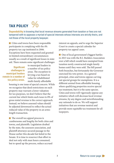# <span id="page-4-0"></span>**TAX POLICY**

**Dependability** in knowing that local revenue streams generated from taxation or fees are not tampered with to appease a myriad of special interests whose interests are strictly theirs, and not those of the local property taxpayer.

Cities and towns have been responsible participants in complying with the 4% property tax cap instituted in 2006. Exceptions have been requested and granted in limited extraordinary circumstances usually as a result of significant losses in state aid. There remain some significant challenges

**Significant challenges to municipal leaders remain in a number of tax policy areas.**

to municipal leaders in a number of tax policy areas. The exception to levying a tax based on value for rehabilitated multi-family affordable

housing is one issue of special concern. While we recognize that deed restrictions on such property may warrant a lower valuation for tax purposes, we don't believe that the current law which limits such taxes to 8% of gross rental revenue is the correct approach. Instead, we believe assessed values should be adjusted downward to reflect the actual reduced value of the property in an armslength transaction.

 $\blacksquare$  The overall tax appeal process is cumbersome and lengthy for both cities and towns, and plaintiffs. Legislation drafted by the state, the assessors association, and plaintiff attorneys secured passage in the House earlier this decade but failed in the Senate. It is time to resurrect that effort to deal not only with man hours consumed, but to speed up the process, reduce accrued

interest on appeals, and to urge the Superior Court to create a special calendar for property tax appeal cases.

■ One of local government's biggest battles in 2013 was with the R.I. Builders Association over a bill which would have exempted from taxation newly constructed single family homes until they were sold. The bill passed both branches, but fortunately the Governor exercised his veto power. As a general principal, cities and towns oppose carving out special groups for exemptions. It is a different animal from affordable housing where qualifying properties receive special tax treatment, but it is the same species. Cities and towns will vigorously oppose any initiative which will decrease local revenue streams, by any degree and notwithstanding any rationale to do so. We will support initiatives that are revenue neutral and provide more equitable tax treatment for all taxpayers.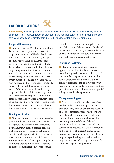# <span id="page-5-0"></span>LABOR RELATIONS



**Dependability** in knowing that our cities and towns can effectively and economically manage and direct their local workforces as they see fit and not have salaries, fringe benefits and other terms and conditions of employment dictated by unaccountable interest arbitrators.

# **Scope of Bargaining**

■ Like thirty-seven (37) other states, Rhode Island has enacted public sector collective bargaining laws and in Rhode Island, these important statutes exist for every group of employee working for either the state or its thirty-nine cities and towns. Rhode Island's laws, however, unlike the collective bargaining laws in the other thirty- seven states, do not provide for a statutory "scope of bargaining" which sets forth those issues which must be bargained for, those which *may* be bargained for if the parties mutually agree to do so, and those subjects which are *prohibited* and cannot be collectively bargained for. R.I. public sector bargaining laws for municipal employees and school teachers should provide for a statutory "scope of bargaining" provision which would protect the inherent managerial rights of cities and towns to direct and control their workforces.

## **Binding Arbitration**

**Binding arbitration, as a means to resolve** public employee contractual disputes for local firefighters and police officers, represents a fundamental violation of local decisionmaking authority. It cedes basic budgetary decision-making authority to an un-elected, unaccountable, and outside third party. Local government officials oppose any form of binding arbitration for school teachers or groups of municipal employees because

it would take essential spending decisions out of the hands of elected local officials and instead allow un-elected, unaccountable, and outside third party arbitrators to determine the fiscal course of cities and towns.

### **Evergreen Contracts**

**Municipal officials also are staunchly** opposed to enactment of labor contract extension legislation known as "Evergreen" contracts for any group(s) of municipal or school employees as automatic statutory contract extensions can codify, possibly in perpetuity, onerous and costly labor contract provisions which may thwart a municipality's ability to modify the agreement.

### **Management Rights**

City and town officials believe state law needs to affirm that municipal charter provisions may limit an arbitrator's decision or labor contract language which conflicts or contradicts certain management rights contained in a charter or ordinance. The overriding responsibilities of elected municipal officials to the citizens of their communities requires that the law recognize and define a set of inherent management prerogatives that are not subject to collective bargaining or binding arbitration and which may not be restricted by any provisions of a collective bargaining agreement.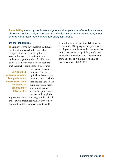**Dependability** in knowing that the statutorily-mandated wages and benefits paid for on-the-job illnesses or injuries go only to those who were intended to receive them and not to anyone not deemed to be a first responder in our public safety departments.

### **On-the-Job Injuries**

**Employees who have suffered legitimate** on-the-job injuries should receive fair compensation through an equitable system that avoids incentives for abuse and encourages the earliest feasible return to work. Equity in such a system requires that the level of compensation (measured

**Only qualified, uniformed members of our public safety departments should be eligible for benefits under RIGL 45-19-1!** 

as a percent of regular compensation) be equivalent; however the current system in Rhode Island is not equitable in that it provides a higher level of replacement income for public safety employees through the

Injured-on-Duty (IOD) program than for all other public employees who are covered by standard workers' compensation benefits.

In addition, municipal officials believe that the statutory IOD program for public safety employees should be amended to ensure that only those defined as qualified, uniformed members of our public safety departments should be the only eligible recipients of benefits under RIGL 45-19-1.